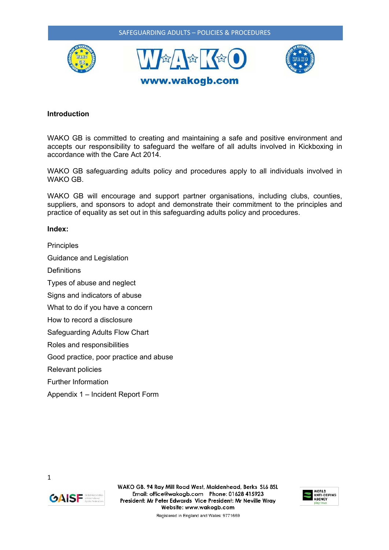





#### **Introduction**

WAKO GB is committed to creating and maintaining a safe and positive environment and accepts our responsibility to safeguard the welfare of all adults involved in Kickboxing in accordance with the Care Act 2014.

WAKO GB safeguarding adults policy and procedures apply to all individuals involved in WAKO GB.

WAKO GB will encourage and support partner organisations, including clubs, counties, suppliers, and sponsors to adopt and demonstrate their commitment to the principles and practice of equality as set out in this safeguarding adults policy and procedures.

#### **Index:**

- Principles
- Guidance and Legislation
- **Definitions**
- Types of abuse and neglect
- Signs and indicators of abuse
- What to do if you have a concern
- How to record a disclosure
- Safeguarding Adults Flow Chart
- Roles and responsibilities
- Good practice, poor practice and abuse
- Relevant policies
- Further Information
- Appendix 1 Incident Report Form



WAKO GB. 94 Ray Mill Road West, Maidenhead, Berks SL6 8SL Email: office@wakogb.com Phone: 01628 415923 President: Mr Peter Edwards Vice President: Mr Neville Wray Website: www.wakogb.com Registered in England and Wales: 9771669



1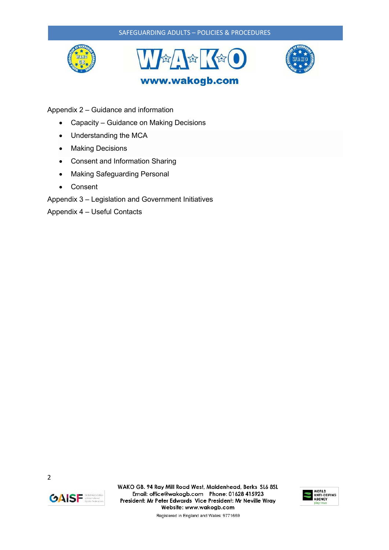





Appendix 2 – Guidance and information

- Capacity Guidance on Making Decisions
- Understanding the MCA
- Making Decisions
- Consent and Information Sharing
- Making Safeguarding Personal
- Consent

Appendix 3 – Legislation and Government Initiatives

Appendix 4 – Useful Contacts





WAKO GB. 94 Ray Mill Road West, Maidenhead, Berks SL6 8SL Email: office@wakogb.com Phone: 01628 415923 President: Mr Peter Edwards Vice President: Mr Neville Wray Website: www.wakogb.com

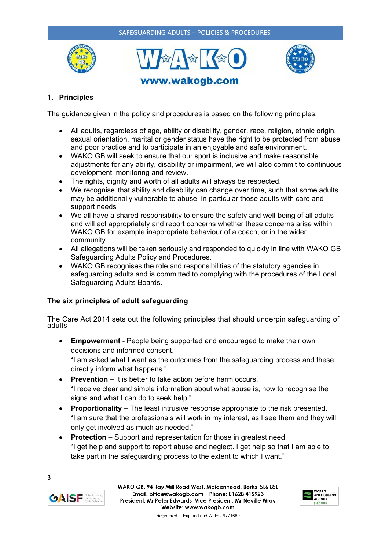





## **1. Principles**

The guidance given in the policy and procedures is based on the following principles:

- All adults, regardless of age, ability or disability, gender, race, religion, ethnic origin, sexual orientation, marital or gender status have the right to be protected from abuse and poor practice and to participate in an enjoyable and safe environment.
- WAKO GB will seek to ensure that our sport is inclusive and make reasonable adjustments for any ability, disability or impairment, we will also commit to continuous development, monitoring and review.
- The rights, dignity and worth of all adults will always be respected.
- We recognise that ability and disability can change over time, such that some adults may be additionally vulnerable to abuse, in particular those adults with care and support needs
- We all have a shared responsibility to ensure the safety and well-being of all adults and will act appropriately and report concerns whether these concerns arise within WAKO GB for example inappropriate behaviour of a coach, or in the wider community.
- All allegations will be taken seriously and responded to quickly in line with WAKO GB Safeguarding Adults Policy and Procedures.
- WAKO GB recognises the role and responsibilities of the statutory agencies in safeguarding adults and is committed to complying with the procedures of the Local Safeguarding Adults Boards.

#### **The six principles of adult safeguarding**

The Care Act 2014 sets out the following principles that should underpin safeguarding of adults

• **Empowerment** - People being supported and encouraged to make their own decisions and informed consent.

"I am asked what I want as the outcomes from the safeguarding process and these directly inform what happens."

- **Prevention** It is better to take action before harm occurs. "I receive clear and simple information about what abuse is, how to recognise the signs and what I can do to seek help."
- **Proportionality** The least intrusive response appropriate to the risk presented. "I am sure that the professionals will work in my interest, as I see them and they will only get involved as much as needed."
- **Protection** Support and representation for those in greatest need. "I get help and support to report abuse and neglect. I get help so that I am able to take part in the safeguarding process to the extent to which I want."



WAKO GB. 94 Ray Mill Road West, Maidenhead, Berks SL6 8SL Email: office@wakogb.com Phone: 01628 415923 President: Mr Peter Edwards Vice President: Mr Neville Wray Website: www.wakogb.com Registered in England and Wales: 9771669



3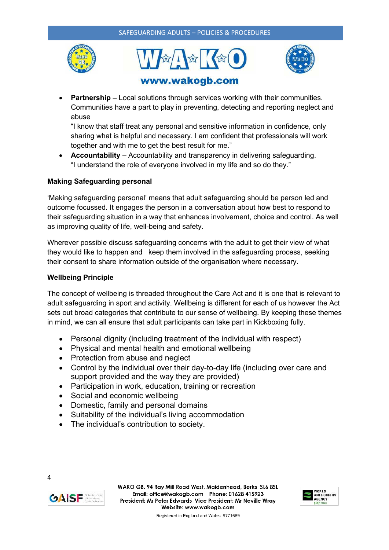



• **Partnership** – Local solutions through services working with their communities. Communities have a part to play in preventing, detecting and reporting neglect and abuse

"I know that staff treat any personal and sensitive information in confidence, only sharing what is helpful and necessary. I am confident that professionals will work together and with me to get the best result for me."

• **Accountability** – Accountability and transparency in delivering safeguarding. "I understand the role of everyone involved in my life and so do they."

### **Making Safeguarding personal**

'Making safeguarding personal' means that adult safeguarding should be person led and outcome focussed. It engages the person in a conversation about how best to respond to their safeguarding situation in a way that enhances involvement, choice and control. As well as improving quality of life, well-being and safety.

Wherever possible discuss safeguarding concerns with the adult to get their view of what they would like to happen and keep them involved in the safeguarding process, seeking their consent to share information outside of the organisation where necessary.

#### **Wellbeing Principle**

The concept of wellbeing is threaded throughout the Care Act and it is one that is relevant to adult safeguarding in sport and activity. Wellbeing is different for each of us however the Act sets out broad categories that contribute to our sense of wellbeing. By keeping these themes in mind, we can all ensure that adult participants can take part in Kickboxing fully.

- Personal dignity (including treatment of the individual with respect)
- Physical and mental health and emotional wellbeing
- Protection from abuse and neglect
- Control by the individual over their day-to-day life (including over care and support provided and the way they are provided)
- Participation in work, education, training or recreation
- Social and economic wellbeing
- Domestic, family and personal domains
- Suitability of the individual's living accommodation
- The individual's contribution to society.





4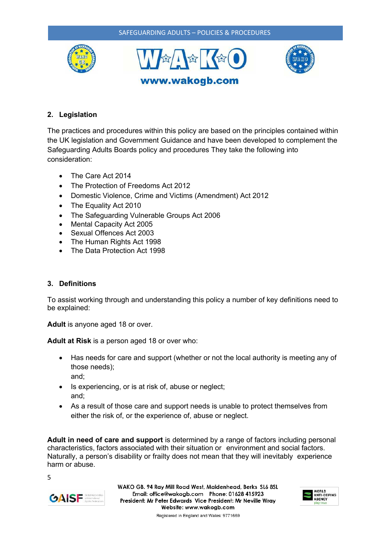





# **2. Legislation**

The practices and procedures within this policy are based on the principles contained within the UK legislation and Government Guidance and have been developed to complement the Safeguarding Adults Boards policy and procedures They take the following into consideration:

- The Care Act 2014
- The Protection of Freedoms Act 2012
- Domestic Violence, Crime and Victims (Amendment) Act 2012
- The Equality Act 2010
- The Safeguarding Vulnerable Groups Act 2006
- Mental Capacity Act 2005
- Sexual Offences Act 2003
- The Human Rights Act 1998
- The Data Protection Act 1998

#### **3. Definitions**

To assist working through and understanding this policy a number of key definitions need to be explained:

**Adult** is anyone aged 18 or over.

**Adult at Risk** is a person aged 18 or over who:

• Has needs for care and support (whether or not the local authority is meeting any of those needs);

and;

- Is experiencing, or is at risk of, abuse or neglect; and;
- As a result of those care and support needs is unable to protect themselves from either the risk of, or the experience of, abuse or neglect.

**Adult in need of care and support** is determined by a range of factors including personal characteristics, factors associated with their situation or environment and social factors. Naturally, a person's disability or frailty does not mean that they will inevitably experience harm or abuse.

5



WAKO GB. 94 Ray Mill Road West, Maidenhead, Berks SL6 8SL Email: office@wakogb.com Phone: 01628 415923 President: Mr Peter Edwards Vice President: Mr Neville Wray Website: www.wakogb.com

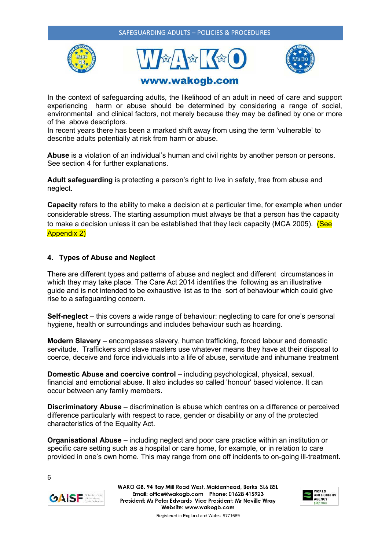





# www.wakogb.com

In the context of safeguarding adults, the likelihood of an adult in need of care and support experiencing harm or abuse should be determined by considering a range of social, environmental and clinical factors, not merely because they may be defined by one or more of the above descriptors.

In recent years there has been a marked shift away from using the term 'vulnerable' to describe adults potentially at risk from harm or abuse.

**Abuse** is a violation of an individual's human and civil rights by another person or persons. See section 4 for further explanations.

**Adult safeguarding** is protecting a person's right to live in safety, free from abuse and neglect.

**Capacity** refers to the ability to make a decision at a particular time, for example when under considerable stress. The starting assumption must always be that a person has the capacity to make a decision unless it can be established that they lack capacity (MCA 2005). (See Appendix 2)

### **4. Types of Abuse and Neglect**

There are different types and patterns of abuse and neglect and different circumstances in which they may take place. The Care Act 2014 identifies the following as an illustrative guide and is not intended to be exhaustive list as to the sort of behaviour which could give rise to a safeguarding concern.

**Self-neglect** – this covers a wide range of behaviour: neglecting to care for one's personal hygiene, health or surroundings and includes behaviour such as hoarding.

**Modern Slavery** – encompasses slavery, human trafficking, forced labour and domestic servitude. Traffickers and slave masters use whatever means they have at their disposal to coerce, deceive and force individuals into a life of abuse, servitude and inhumane treatment

**Domestic Abuse and coercive control** – including psychological, physical, sexual, financial and emotional abuse. It also includes so called 'honour' based violence. It can occur between any family members.

**Discriminatory Abuse** – discrimination is abuse which centres on a difference or perceived difference particularly with respect to race, gender or disability or any of the protected characteristics of the Equality Act.

**Organisational Abuse** – including neglect and poor care practice within an institution or specific care setting such as a hospital or care home, for example, or in relation to care provided in one's own home. This may range from one off incidents to on-going ill-treatment.



6

WAKO GB. 94 Ray Mill Road West, Maidenhead, Berks SL6 8SL Email: office@wakogb.com Phone: 01628 415923 President: Mr Peter Edwards Vice President: Mr Neville Wray Website: www.wakogb.com

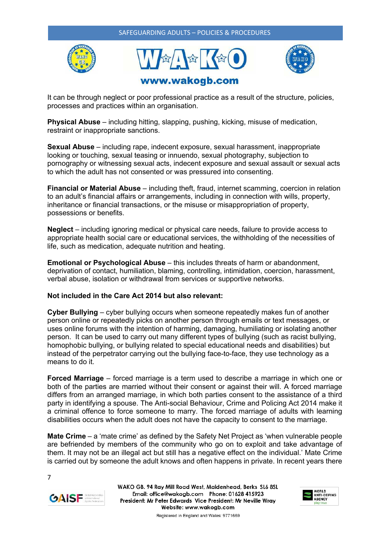





# www.wakogb.com

It can be through neglect or poor professional practice as a result of the structure, policies, processes and practices within an organisation.

**Physical Abuse** – including hitting, slapping, pushing, kicking, misuse of medication, restraint or inappropriate sanctions.

**Sexual Abuse** – including rape, indecent exposure, sexual harassment, inappropriate looking or touching, sexual teasing or innuendo, sexual photography, subjection to pornography or witnessing sexual acts, indecent exposure and sexual assault or sexual acts to which the adult has not consented or was pressured into consenting.

**Financial or Material Abuse** – including theft, fraud, internet scamming, coercion in relation to an adult's financial affairs or arrangements, including in connection with wills, property, inheritance or financial transactions, or the misuse or misappropriation of property, possessions or benefits.

**Neglect** – including ignoring medical or physical care needs, failure to provide access to appropriate health social care or educational services, the withholding of the necessities of life, such as medication, adequate nutrition and heating.

**Emotional or Psychological Abuse** – this includes threats of harm or abandonment, deprivation of contact, humiliation, blaming, controlling, intimidation, coercion, harassment, verbal abuse, isolation or withdrawal from services or supportive networks.

#### **Not included in the Care Act 2014 but also relevant:**

**Cyber Bullying** – cyber bullying occurs when someone repeatedly makes fun of another person online or repeatedly picks on another person through emails or text messages, or uses online forums with the intention of harming, damaging, humiliating or isolating another person. It can be used to carry out many different types of bullying (such as racist bullying, homophobic bullying, or bullying related to special educational needs and disabilities) but instead of the perpetrator carrying out the bullying face-to-face, they use technology as a means to do it.

**Forced Marriage** – forced marriage is a term used to describe a marriage in which one or both of the parties are married without their consent or against their will. A forced marriage differs from an arranged marriage, in which both parties consent to the assistance of a third party in identifying a spouse. The Anti-social Behaviour, Crime and Policing Act 2014 make it a criminal offence to force someone to marry. The forced marriage of adults with learning disabilities occurs when the adult does not have the capacity to consent to the marriage.

**Mate Crime** – a 'mate crime' as defined by the Safety Net Project as 'when vulnerable people are befriended by members of the community who go on to exploit and take advantage of them. It may not be an illegal act but still has a negative effect on the individual.' Mate Crime is carried out by someone the adult knows and often happens in private. In recent years there



7

WAKO GB. 94 Ray Mill Road West, Maidenhead, Berks SL6 8SL Email: office@wakogb.com Phone: 01628 415923 President: Mr Peter Edwards Vice President: Mr Neville Wray Website: www.wakogb.com

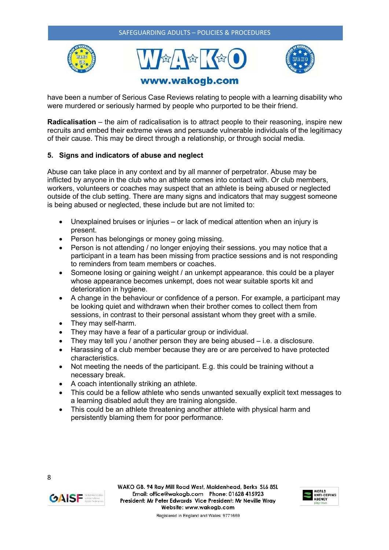





# www.wakogb.com

have been a number of Serious Case Reviews relating to people with a learning disability who were murdered or seriously harmed by people who purported to be their friend.

**Radicalisation** – the aim of radicalisation is to attract people to their reasoning, inspire new recruits and embed their extreme views and persuade vulnerable individuals of the legitimacy of their cause. This may be direct through a relationship, or through social media.

#### **5. Signs and indicators of abuse and neglect**

Abuse can take place in any context and by all manner of perpetrator. Abuse may be inflicted by anyone in the club who an athlete comes into contact with. Or club members, workers, volunteers or coaches may suspect that an athlete is being abused or neglected outside of the club setting. There are many signs and indicators that may suggest someone is being abused or neglected, these include but are not limited to:

- Unexplained bruises or injuries or lack of medical attention when an injury is present.
- Person has belongings or money going missing.
- Person is not attending / no longer enjoying their sessions. you may notice that a participant in a team has been missing from practice sessions and is not responding to reminders from team members or coaches.
- Someone losing or gaining weight / an unkempt appearance. this could be a player whose appearance becomes unkempt, does not wear suitable sports kit and deterioration in hygiene.
- A change in the behaviour or confidence of a person. For example, a participant may be looking quiet and withdrawn when their brother comes to collect them from sessions, in contrast to their personal assistant whom they greet with a smile.
- They may self-harm.
- They may have a fear of a particular group or individual.
- They may tell you / another person they are being abused  $-$  i.e. a disclosure.
- Harassing of a club member because they are or are perceived to have protected characteristics.
- Not meeting the needs of the participant. E.g. this could be training without a necessary break.
- A coach intentionally striking an athlete.
- This could be a fellow athlete who sends unwanted sexually explicit text messages to a learning disabled adult they are training alongside.
- This could be an athlete threatening another athlete with physical harm and persistently blaming them for poor performance.



WAKO GB. 94 Ray Mill Road West, Maidenhead, Berks SL6 8SL Email: office@wakogb.com Phone: 01628 415923 President: Mr Peter Edwards Vice President: Mr Neville Wray Website: www.wakogb.com

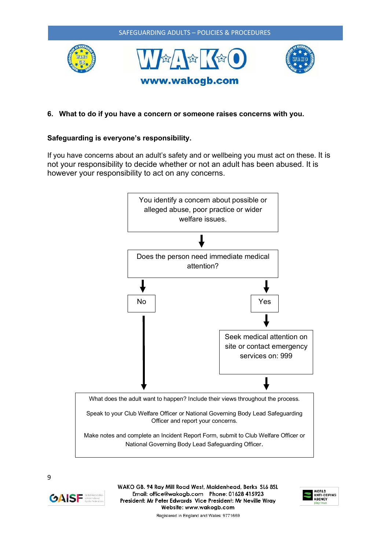

## **6. What to do if you have a concern or someone raises concerns with you.**

#### **Safeguarding is everyone's responsibility.**

If you have concerns about an adult's safety and or wellbeing you must act on these. It is not your responsibility to decide whether or not an adult has been abused. It is however your responsibility to act on any concerns.





WAKO GB. 94 Ray Mill Road West, Maidenhead, Berks SL6 8SL Email: office@wakogb.com Phone: 01628 415923 President: Mr Peter Edwards Vice President: Mr Neville Wray Website: www.wakogb.com Registered in England and Wales: 9771669



9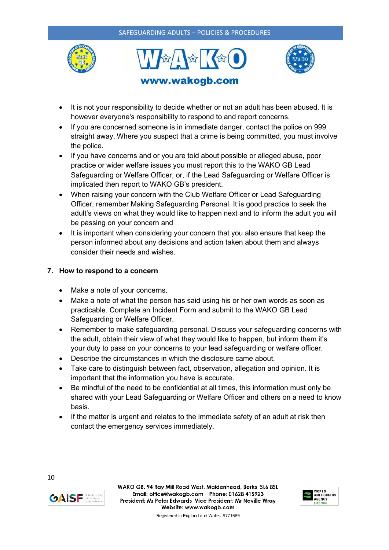





- It is not your responsibility to decide whether or not an adult has been abused. It is however everyone's responsibility to respond to and report concerns.
- If you are concerned someone is in immediate danger, contact the police on 999 straight away. Where you suspect that a crime is being committed, you must involve the police.
- If you have concerns and or you are told about possible or alleged abuse, poor practice or wider welfare issues you must report this to the WAKO GB Lead Safeguarding or Welfare Officer, or, if the Lead Safeguarding or Welfare Officer is implicated then report to WAKO GB's president.
- When raising your concern with the Club Welfare Officer or Lead Safeguarding Officer, remember Making Safeguarding Personal. It is good practice to seek the adult's views on what they would like to happen next and to inform the adult you will be passing on your concern and
- It is important when considering your concern that you also ensure that keep the person informed about any decisions and action taken about them and always consider their needs and wishes.

## **7. How to respond to a concern**

- Make a note of your concerns.
- Make a note of what the person has said using his or her own words as soon as practicable. Complete an Incident Form and submit to the WAKO GB Lead Safeguarding or Welfare Officer.
- Remember to make safeguarding personal. Discuss your safeguarding concerns with the adult, obtain their view of what they would like to happen, but inform them it's your duty to pass on your concerns to your lead safeguarding or welfare officer.
- Describe the circumstances in which the disclosure came about.
- Take care to distinguish between fact, observation, allegation and opinion. It is important that the information you have is accurate.
- Be mindful of the need to be confidential at all times, this information must only be shared with your Lead Safeguarding or Welfare Officer and others on a need to know basis.
- If the matter is urgent and relates to the immediate safety of an adult at risk then contact the emergency services immediately.



WAKO GB. 94 Ray Mill Road West, Maidenhead, Berks SL6 8SL Email: office@wakogb.com Phone: 01628 415923 President: Mr Peter Edwards Vice President: Mr Neville Wray Website: www.wakogb.com Registered in England and Wales: 9771669



10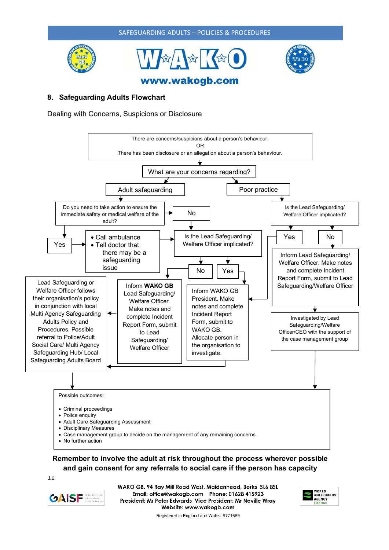

#### **8. Safeguarding Adults Flowchart**

Dealing with Concerns, Suspicions or Disclosure



**Remember to involve the adult at risk throughout the process wherever possible and gain consent for any referrals to social care if the person has capacity**

11



WAKO GB. 94 Ray Mill Road West, Maidenhead, Berks SL6 8SL Email: office@wakogb.com Phone: 01628 415923 President: Mr Peter Edwards Vice President: Mr Neville Wray Website: www.wakogb.com

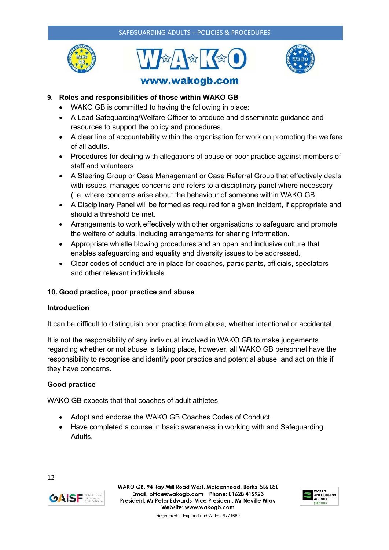





- **9. Roles and responsibilities of those within WAKO GB**
	- WAKO GB is committed to having the following in place:
	- A Lead Safeguarding/Welfare Officer to produce and disseminate guidance and resources to support the policy and procedures.
	- A clear line of accountability within the organisation for work on promoting the welfare of all adults.
	- Procedures for dealing with allegations of abuse or poor practice against members of staff and volunteers.
	- A Steering Group or Case Management or Case Referral Group that effectively deals with issues, manages concerns and refers to a disciplinary panel where necessary (i.e. where concerns arise about the behaviour of someone within WAKO GB.
	- A Disciplinary Panel will be formed as required for a given incident, if appropriate and should a threshold be met.
	- Arrangements to work effectively with other organisations to safeguard and promote the welfare of adults, including arrangements for sharing information.
	- Appropriate whistle blowing procedures and an open and inclusive culture that enables safeguarding and equality and diversity issues to be addressed.
	- Clear codes of conduct are in place for coaches, participants, officials, spectators and other relevant individuals.

## **10. Good practice, poor practice and abuse**

#### **Introduction**

It can be difficult to distinguish poor practice from abuse, whether intentional or accidental.

It is not the responsibility of any individual involved in WAKO GB to make judgements regarding whether or not abuse is taking place, however, all WAKO GB personnel have the responsibility to recognise and identify poor practice and potential abuse, and act on this if they have concerns.

#### **Good practice**

WAKO GB expects that that coaches of adult athletes:

- Adopt and endorse the WAKO GB Coaches Codes of Conduct.
- Have completed a course in basic awareness in working with and Safeguarding Adults.

12



WAKO GB. 94 Ray Mill Road West, Maidenhead, Berks SL6 8SL Email: office@wakogb.com Phone: 01628 415923 President: Mr Peter Edwards Vice President: Mr Neville Wray Website: www.wakogb.com

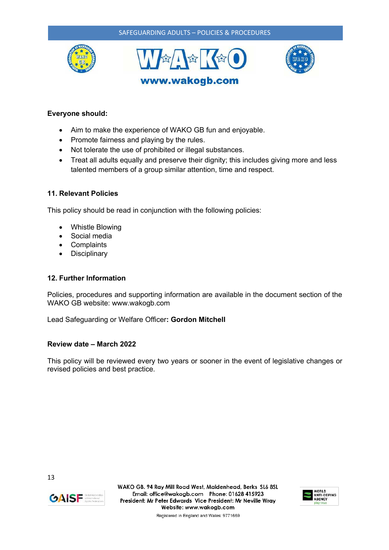





## **Everyone should:**

- Aim to make the experience of WAKO GB fun and enjoyable.
- Promote fairness and playing by the rules.
- Not tolerate the use of prohibited or illegal substances.
- Treat all adults equally and preserve their dignity; this includes giving more and less talented members of a group similar attention, time and respect.

### **11. Relevant Policies**

This policy should be read in conjunction with the following policies:

- Whistle Blowing
- Social media
- Complaints
- Disciplinary

## **12. Further Information**

Policies, procedures and supporting information are available in the document section of the WAKO GB website: www.wakogb.com

Lead Safeguarding or Welfare Officer**: Gordon Mitchell**

#### **Review date – March 2022**

This policy will be reviewed every two years or sooner in the event of legislative changes or revised policies and best practice.





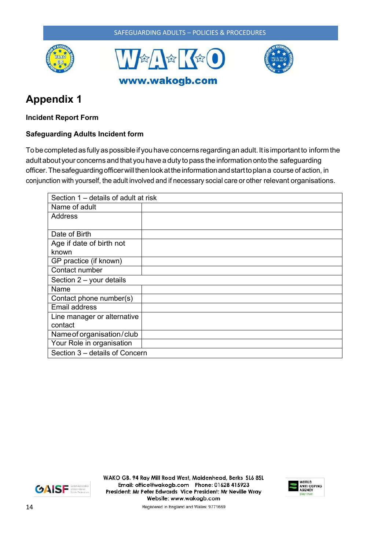





# **Appendix 1**

## **Incident Report Form**

## **Safeguarding Adults Incident form**

To be completed as fully as possible if you have concerns regarding an adult. It is important to inform the adult about your concerns and that you have a duty to pass the information onto the safeguarding officer. The safeguarding officer will then look at the information and start to plan a course of action, in conjunction with yourself, the adult involved and if necessary social care or other relevant organisations.

| Section 1 – details of adult at risk |  |  |
|--------------------------------------|--|--|
| Name of adult                        |  |  |
| <b>Address</b>                       |  |  |
|                                      |  |  |
| Date of Birth                        |  |  |
| Age if date of birth not             |  |  |
| known                                |  |  |
| GP practice (if known)               |  |  |
| Contact number                       |  |  |
| Section $2 -$ your details           |  |  |
| Name                                 |  |  |
| Contact phone number(s)              |  |  |
| Email address                        |  |  |
| Line manager or alternative          |  |  |
| contact                              |  |  |
| Name of organisation/club            |  |  |
| Your Role in organisation            |  |  |
| Section 3 – details of Concern       |  |  |



WAKO GB. 94 Ray Mill Road West, Maidenhead, Berks SL6 8SL Email: office@wakogb.com Phone: 01628 415923 President: Mr Peter Edwards Vice President: Mr Neville Wray Website: www.wakogb.com

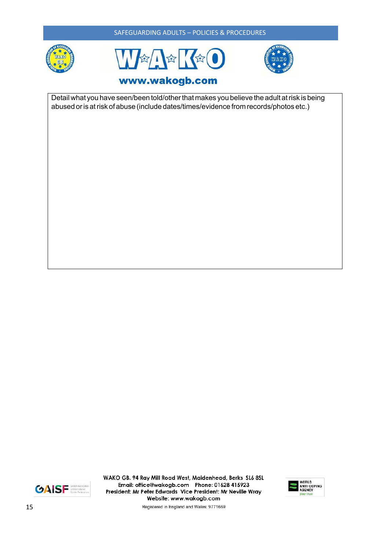





Detail what you have seen/been told/other that makes you believe the adult at risk is being abused oris atrisk of abuse (include dates/times/evidence from records/photos etc.)



WAKO GB. 94 Ray Mill Road West, Maidenhead, Berks SL6 8SL Email: office@wakogb.com Phone: 01628 415923 President: Mr Peter Edwards Vice President: Mr Neville Wray Website: www.wakogb.com

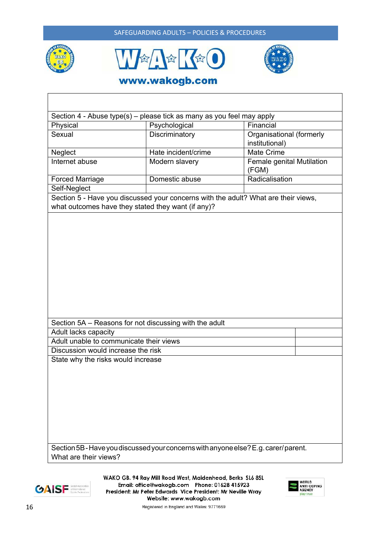





|                                                                                                                                          | Section 4 - Abuse type(s) – please tick as many as you feel may apply |                                    |  |  |
|------------------------------------------------------------------------------------------------------------------------------------------|-----------------------------------------------------------------------|------------------------------------|--|--|
| Physical                                                                                                                                 | Psychological                                                         | Financial                          |  |  |
| Sexual                                                                                                                                   | Discriminatory                                                        | Organisational (formerly           |  |  |
|                                                                                                                                          |                                                                       | institutional)                     |  |  |
| Neglect                                                                                                                                  | Hate incident/crime                                                   | Mate Crime                         |  |  |
| Internet abuse                                                                                                                           | Modern slavery                                                        | Female genital Mutilation<br>(FGM) |  |  |
| <b>Forced Marriage</b>                                                                                                                   | Domestic abuse                                                        | Radicalisation                     |  |  |
| Self-Neglect                                                                                                                             |                                                                       |                                    |  |  |
| Section 5 - Have you discussed your concerns with the adult? What are their views,<br>what outcomes have they stated they want (if any)? |                                                                       |                                    |  |  |
| Section 5A - Reasons for not discussing with the adult                                                                                   |                                                                       |                                    |  |  |
| Adult lacks capacity                                                                                                                     |                                                                       |                                    |  |  |
| Adult unable to communicate their views                                                                                                  |                                                                       |                                    |  |  |
| Discussion would increase the risk                                                                                                       |                                                                       |                                    |  |  |
| State why the risks would increase                                                                                                       |                                                                       |                                    |  |  |
| Section 5B-Have you discussed your concerns with anyone else? E.g. carer/parent.<br>What are their views?                                |                                                                       |                                    |  |  |



WAKO GB. 94 Ray Mill Road West, Maidenhead, Berks SL6 8SL Email: office@wakogb.com Phone: 01628 415923 President: Mr Peter Edwards Vice President: Mr Neville Wray Website: www.wakogb.com

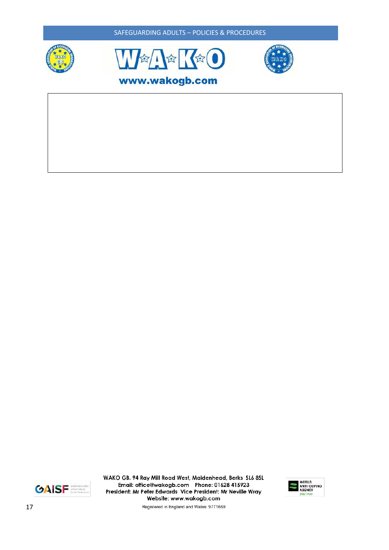







WAKO GB. 94 Ray Mill Road West, Maidenhead, Berks SL6 8SL Email: office@wakogb.com Phone: 01628 415923 President: Mr Peter Edwards Vice President: Mr Neville Wray Website: www.wakogb.com

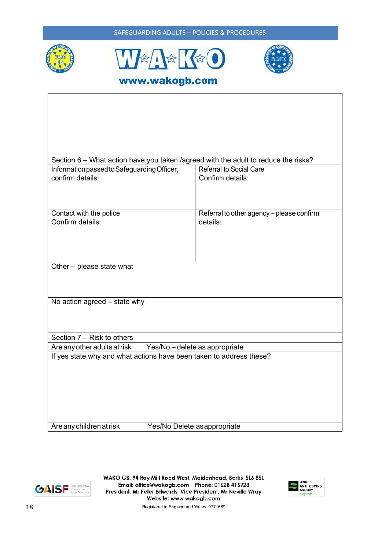





٦

| Section 6 - What action have you taken /agreed with the adult to reduce the risks? |                                                    |  |  |  |
|------------------------------------------------------------------------------------|----------------------------------------------------|--|--|--|
| Information passed to Safeguarding Officer,<br>confirm details:                    | <b>Referral to Social Care</b><br>Confirm details: |  |  |  |
|                                                                                    |                                                    |  |  |  |
|                                                                                    |                                                    |  |  |  |
|                                                                                    |                                                    |  |  |  |
| Contact with the police<br>Confirm details:                                        | Referral to other agency - please confirm          |  |  |  |
|                                                                                    | details:                                           |  |  |  |
|                                                                                    |                                                    |  |  |  |
|                                                                                    |                                                    |  |  |  |
| Other - please state what                                                          |                                                    |  |  |  |
|                                                                                    |                                                    |  |  |  |
|                                                                                    |                                                    |  |  |  |
|                                                                                    |                                                    |  |  |  |
| No action agreed - state why                                                       |                                                    |  |  |  |
|                                                                                    |                                                    |  |  |  |
|                                                                                    |                                                    |  |  |  |
| Section 7 - Risk to others                                                         |                                                    |  |  |  |
| Are any other adults at risk Yes/No - delete as appropriate                        |                                                    |  |  |  |
| If yes state why and what actions have been taken to address these?                |                                                    |  |  |  |
|                                                                                    |                                                    |  |  |  |
|                                                                                    |                                                    |  |  |  |
|                                                                                    |                                                    |  |  |  |
|                                                                                    |                                                    |  |  |  |
|                                                                                    |                                                    |  |  |  |
| Are any children at risk<br>Yes/No Delete asappropriate                            |                                                    |  |  |  |



WAKO GB. 94 Ray Mill Road West, Maidenhead, Berks SL6 8SL Email: office@wakogb.com Phone: 01628 415923 President: Mr Peter Edwards Vice President: Mr Neville Wray Website: www.wakogb.com

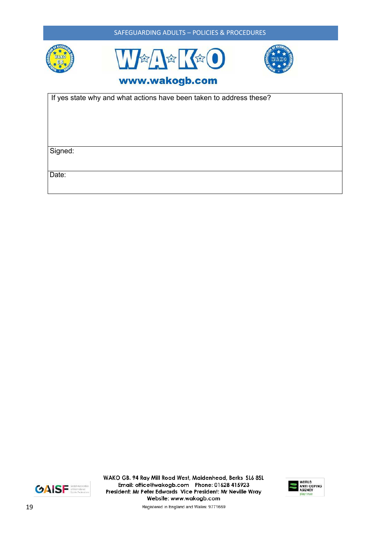





# www.wakogb.com

If yes state why and what actions have been taken to address these?

Signed:

Date:



WAKO GB. 94 Ray Mill Road West, Maidenhead, Berks SL6 8SL Email: office@wakogb.com Phone: 01628 415923 President: Mr Peter Edwards Vice President: Mr Neville Wray Website: www.wakogb.com

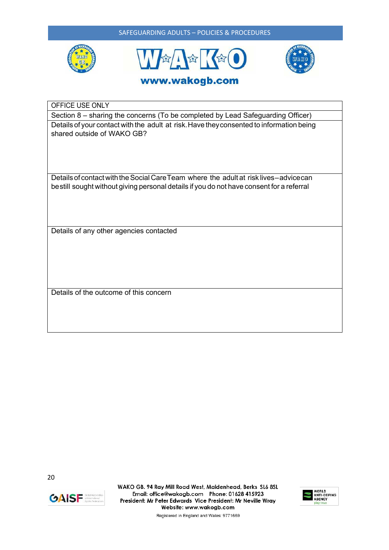





OFFICE USE ONLY

Section 8 – sharing the concerns (To be completed by Lead Safeguarding Officer) Details of your contact with the adult at risk.Have theyconsented to information being shared outside of WAKO GB?

Details of contact with the Social Care Team where the adult at risk lives – advicecan bestill sought without giving personal details if you do not have consent for a referral

Details of any other agencies contacted

Details of the outcome of this concern

20



WAKO GB. 94 Ray Mill Road West, Maidenhead, Berks SL6 8SL Email: office@wakogb.com Phone: 01628 415923 President: Mr Peter Edwards Vice President: Mr Neville Wray Website: www.wakogb.com

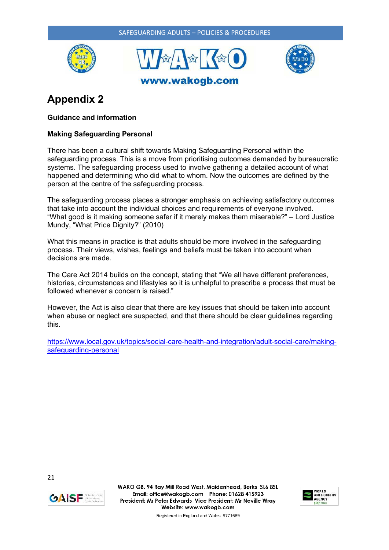





# **Appendix 2**

#### **Guidance and information**

#### **Making Safeguarding Personal**

There has been a cultural shift towards Making Safeguarding Personal within the safeguarding process. This is a move from prioritising outcomes demanded by bureaucratic systems. The safeguarding process used to involve gathering a detailed account of what happened and determining who did what to whom. Now the outcomes are defined by the person at the centre of the safeguarding process.

The safeguarding process places a stronger emphasis on achieving satisfactory outcomes that take into account the individual choices and requirements of everyone involved. "What good is it making someone safer if it merely makes them miserable?" – Lord Justice Mundy, "What Price Dignity?" (2010)

What this means in practice is that adults should be more involved in the safeguarding process. Their views, wishes, feelings and beliefs must be taken into account when decisions are made.

The Care Act 2014 builds on the concept, stating that "We all have different preferences, histories, circumstances and lifestyles so it is unhelpful to prescribe a process that must be followed whenever a concern is raised."

However, the Act is also clear that there are key issues that should be taken into account when abuse or neglect are suspected, and that there should be clear guidelines regarding this.

https://www.local.gov.uk/topics/social-care-health-and-integration/adult-social-care/makingsafeguarding-personal





WAKO GB. 94 Ray Mill Road West, Maidenhead, Berks SL6 8SL Email: office@wakogb.com Phone: 01628 415923 President: Mr Peter Edwards Vice President: Mr Neville Wray Website: www.wakogb.com

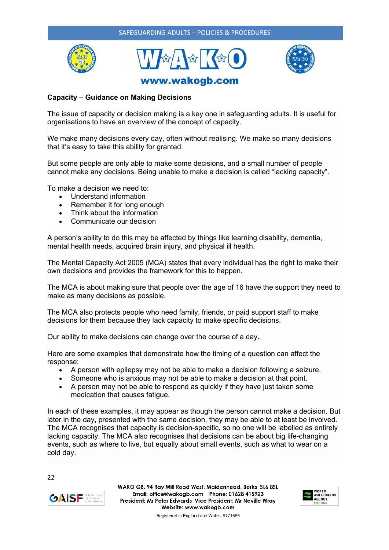





#### **Capacity – Guidance on Making Decisions**

The issue of capacity or decision making is a key one in safeguarding adults. It is useful for organisations to have an overview of the concept of capacity.

We make many decisions every day, often without realising. We make so many decisions that it's easy to take this ability for granted.

But some people are only able to make some decisions, and a small number of people cannot make any decisions. Being unable to make a decision is called "lacking capacity".

To make a decision we need to:

- Understand information
- Remember it for long enough
- Think about the information
- Communicate our decision

A person's ability to do this may be affected by things like learning disability, dementia, mental health needs, acquired brain injury, and physical ill health.

The Mental Capacity Act 2005 (MCA) states that every individual has the right to make their own decisions and provides the framework for this to happen.

The MCA is about making sure that people over the age of 16 have the support they need to make as many decisions as possible.

The MCA also protects people who need family, friends, or paid support staff to make decisions for them because they lack capacity to make specific decisions.

Our ability to make decisions can change over the course of a day**.** 

Here are some examples that demonstrate how the timing of a question can affect the response:

- A person with epilepsy may not be able to make a decision following a seizure.
- Someone who is anxious may not be able to make a decision at that point.
- A person may not be able to respond as quickly if they have just taken some medication that causes fatigue.

In each of these examples, it may appear as though the person cannot make a decision. But later in the day, presented with the same decision, they may be able to at least be involved. The MCA recognises that capacity is decision-specific, so no one will be labelled as entirely lacking capacity. The MCA also recognises that decisions can be about big life-changing events, such as where to live, but equally about small events, such as what to wear on a cold day.

22



WAKO GB. 94 Ray Mill Road West, Maidenhead, Berks SL6 8SL Email: office@wakogb.com Phone: 01628 415923 President: Mr Peter Edwards Vice President: Mr Neville Wray Website: www.wakogb.com

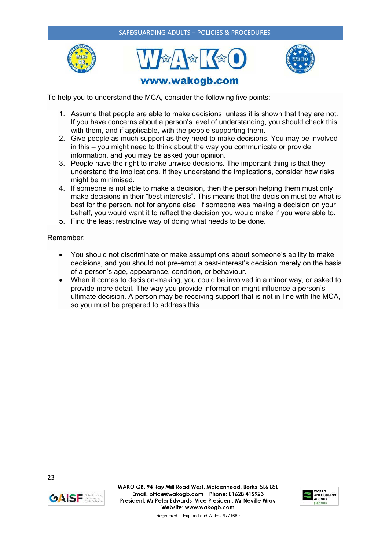





## www.wakogb.com

To help you to understand the MCA, consider the following five points:

- 1. Assume that people are able to make decisions, unless it is shown that they are not. If you have concerns about a person's level of understanding, you should check this with them, and if applicable, with the people supporting them.
- 2. Give people as much support as they need to make decisions. You may be involved in this – you might need to think about the way you communicate or provide information, and you may be asked your opinion.
- 3. People have the right to make unwise decisions. The important thing is that they understand the implications. If they understand the implications, consider how risks might be minimised.
- 4. If someone is not able to make a decision, then the person helping them must only make decisions in their "best interests". This means that the decision must be what is best for the person, not for anyone else. If someone was making a decision on your behalf, you would want it to reflect the decision you would make if you were able to.
- 5. Find the least restrictive way of doing what needs to be done.

Remember:

- You should not discriminate or make assumptions about someone's ability to make decisions, and you should not pre-empt a best-interest's decision merely on the basis of a person's age, appearance, condition, or behaviour.
- When it comes to decision-making, you could be involved in a minor way, or asked to provide more detail. The way you provide information might influence a person's ultimate decision. A person may be receiving support that is not in-line with the MCA, so you must be prepared to address this.





WAKO GB. 94 Ray Mill Road West, Maidenhead, Berks SL6 8SL Email: office@wakoab.com Phone: 01628 415923 President: Mr Peter Edwards Vice President: Mr Neville Wray Website: www.wakogb.com

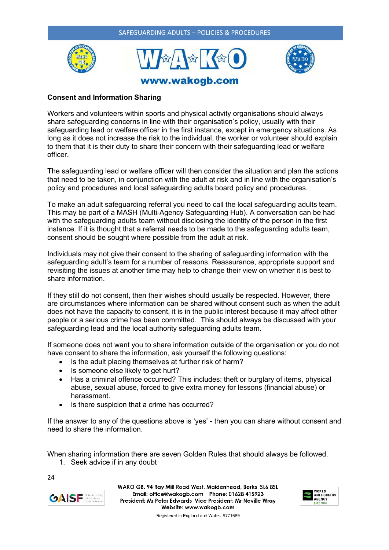





#### **Consent and Information Sharing**

Workers and volunteers within sports and physical activity organisations should always share safeguarding concerns in line with their organisation's policy, usually with their safeguarding lead or welfare officer in the first instance, except in emergency situations. As long as it does not increase the risk to the individual, the worker or volunteer should explain to them that it is their duty to share their concern with their safeguarding lead or welfare officer.

The safeguarding lead or welfare officer will then consider the situation and plan the actions that need to be taken, in conjunction with the adult at risk and in line with the organisation's policy and procedures and local safeguarding adults board policy and procedures.

To make an adult safeguarding referral you need to call the local safeguarding adults team. This may be part of a MASH (Multi-Agency Safeguarding Hub). A conversation can be had with the safeguarding adults team without disclosing the identity of the person in the first instance. If it is thought that a referral needs to be made to the safeguarding adults team, consent should be sought where possible from the adult at risk.

Individuals may not give their consent to the sharing of safeguarding information with the safeguarding adult's team for a number of reasons. Reassurance, appropriate support and revisiting the issues at another time may help to change their view on whether it is best to share information.

If they still do not consent, then their wishes should usually be respected. However, there are circumstances where information can be shared without consent such as when the adult does not have the capacity to consent, it is in the public interest because it may affect other people or a serious crime has been committed. This should always be discussed with your safeguarding lead and the local authority safeguarding adults team.

If someone does not want you to share information outside of the organisation or you do not have consent to share the information, ask yourself the following questions:

- Is the adult placing themselves at further risk of harm?
- Is someone else likely to get hurt?
- Has a criminal offence occurred? This includes: theft or burglary of items, physical abuse, sexual abuse, forced to give extra money for lessons (financial abuse) or harassment.
- Is there suspicion that a crime has occurred?

If the answer to any of the questions above is 'yes' - then you can share without consent and need to share the information.

When sharing information there are seven Golden Rules that should always be followed.

1. Seek advice if in any doubt

24



WAKO GB. 94 Ray Mill Road West, Maidenhead, Berks SL6 8SL Email: office@wakogb.com Phone: 01628 415923 President: Mr Peter Edwards Vice President: Mr Neville Wray Website: www.wakogb.com

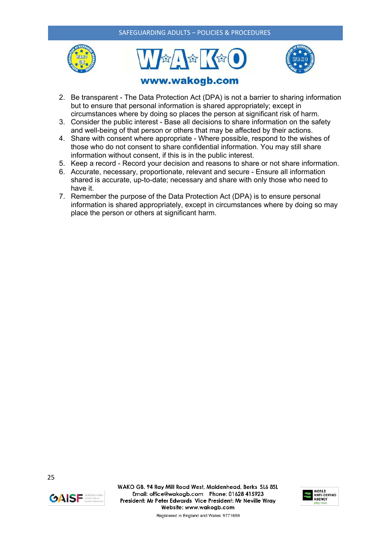





- 2. Be transparent The Data Protection Act (DPA) is not a barrier to sharing information but to ensure that personal information is shared appropriately; except in circumstances where by doing so places the person at significant risk of harm.
- 3. Consider the public interest Base all decisions to share information on the safety and well-being of that person or others that may be affected by their actions.
- 4. Share with consent where appropriate Where possible, respond to the wishes of those who do not consent to share confidential information. You may still share information without consent, if this is in the public interest.
- 5. Keep a record Record your decision and reasons to share or not share information.
- 6. Accurate, necessary, proportionate, relevant and secure Ensure all information shared is accurate, up-to-date; necessary and share with only those who need to have it.
- 7. Remember the purpose of the Data Protection Act (DPA) is to ensure personal information is shared appropriately, except in circumstances where by doing so may place the person or others at significant harm.





WAKO GB. 94 Ray Mill Road West, Maidenhead, Berks SL6 8SL Email: office@wakogb.com Phone: 01628 415923 President: Mr Peter Edwards Vice President: Mr Neville Wray Website: www.wakogb.com

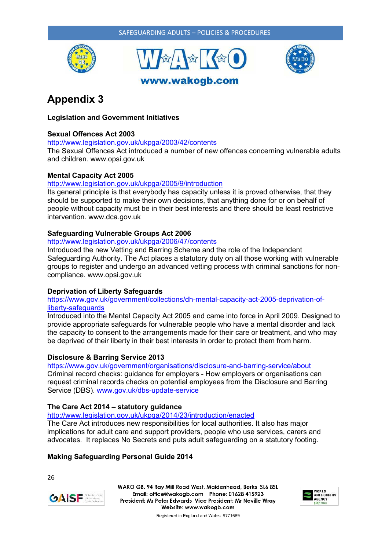





# **Appendix 3**

#### **Legislation and Government Initiatives**

#### **Sexual Offences Act 2003**

http://www.legislation.gov.uk/ukpga/2003/42/contents

The Sexual Offences Act introduced a number of new offences concerning vulnerable adults and children. www.opsi.gov.uk

#### **Mental Capacity Act 2005**

http://www.legislation.gov.uk/ukpga/2005/9/introduction

Its general principle is that everybody has capacity unless it is proved otherwise, that they should be supported to make their own decisions, that anything done for or on behalf of people without capacity must be in their best interests and there should be least restrictive intervention. www.dca.gov.uk

#### **Safeguarding Vulnerable Groups Act 2006**

http://www.legislation.gov.uk/ukpga/2006/47/contents

Introduced the new Vetting and Barring Scheme and the role of the Independent Safeguarding Authority. The Act places a statutory duty on all those working with vulnerable groups to register and undergo an advanced vetting process with criminal sanctions for noncompliance. www.opsi.gov.uk

#### **Deprivation of Liberty Safeguards**

#### https://www.gov.uk/government/collections/dh-mental-capacity-act-2005-deprivation-ofliberty-safeguards

Introduced into the Mental Capacity Act 2005 and came into force in April 2009. Designed to provide appropriate safeguards for vulnerable people who have a mental disorder and lack the capacity to consent to the arrangements made for their care or treatment, and who may be deprived of their liberty in their best interests in order to protect them from harm.

#### **Disclosure & Barring Service 2013**

https://www.gov.uk/government/organisations/disclosure-and-barring-service/about Criminal record checks: guidance for employers - How employers or organisations can request criminal records checks on potential employees from the Disclosure and Barring Service (DBS). www.gov.uk/dbs-update-service

#### **The Care Act 2014 – statutory guidance**

http://www.legislation.gov.uk/ukpga/2014/23/introduction/enacted

The Care Act introduces new responsibilities for local authorities. It also has major implications for adult care and support providers, people who use services, carers and advocates. It replaces No Secrets and puts adult safeguarding on a statutory footing.

#### **Making Safeguarding Personal Guide 2014**

26



WAKO GB. 94 Ray Mill Road West, Maidenhead, Berks SL6 8SL Email: office@wakogb.com Phone: 01628 415923 President: Mr Peter Edwards Vice President: Mr Neville Wray Website: www.wakogb.com

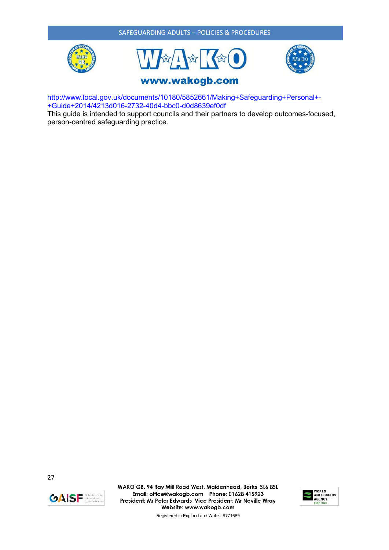







http://www.local.gov.uk/documents/10180/5852661/Making+Safeguarding+Personal+- +Guide+2014/4213d016-2732-40d4-bbc0-d0d8639ef0df

This guide is intended to support councils and their partners to develop outcomes-focused, person-centred safeguarding practice.





WAKO GB. 94 Ray Mill Road West, Maidenhead, Berks SL6 8SL Email: office@wakogb.com Phone: 01628 415923 President: Mr Peter Edwards Vice President: Mr Neville Wray Website: www.wakogb.com